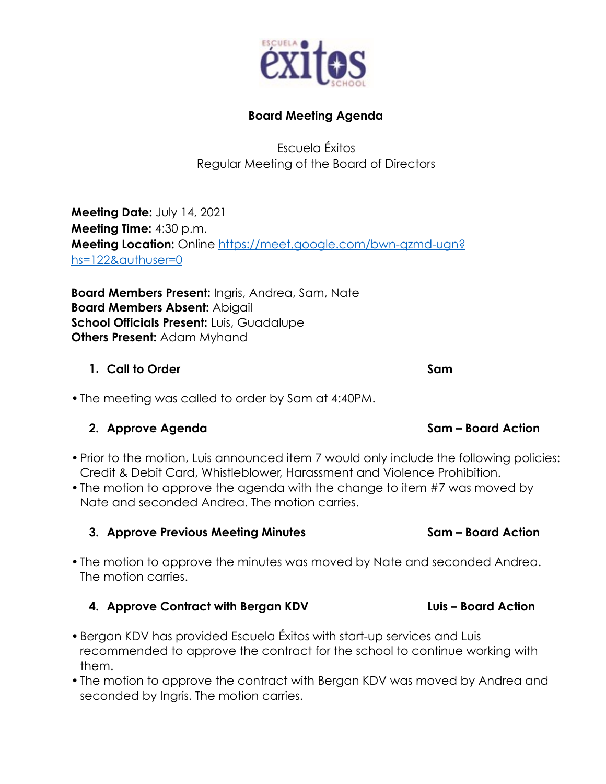

## **Board Meeting Agenda**

Escuela Éxitos Regular Meeting of the Board of Directors

**Meeting Date:** July 14, 2021 **Meeting Time:** 4:30 p.m. **Meeting Location:** Online https://meet.google.com/bwn-qzmd-ugn? hs=122&authuser=0

**Board Members Present:** Ingris, Andrea, Sam, Nate **Board Members Absent:** Abigail **School Officials Present:** Luis, Guadalupe **Others Present:** Adam Myhand

## **1.** Call to Order Sample Sample Sample Sample Sample Sample Sample Sample Sample Sample Sample Sample Sample

•The meeting was called to order by Sam at 4:40PM.

# 2. Approve Agenda Sam – Board Action

- Prior to the motion, Luis announced item 7 would only include the following policies: Credit & Debit Card, Whistleblower, Harassment and Violence Prohibition.
- The motion to approve the agenda with the change to item #7 was moved by Nate and seconded Andrea. The motion carries.

# **3. Approve Previous Meeting Minutes Sam – Board Action**

•The motion to approve the minutes was moved by Nate and seconded Andrea. The motion carries.

# **4. Approve Contract with Bergan KDV Luis – Board Action**

- •Bergan KDV has provided Escuela Éxitos with start-up services and Luis recommended to approve the contract for the school to continue working with them.
- •The motion to approve the contract with Bergan KDV was moved by Andrea and seconded by Ingris. The motion carries.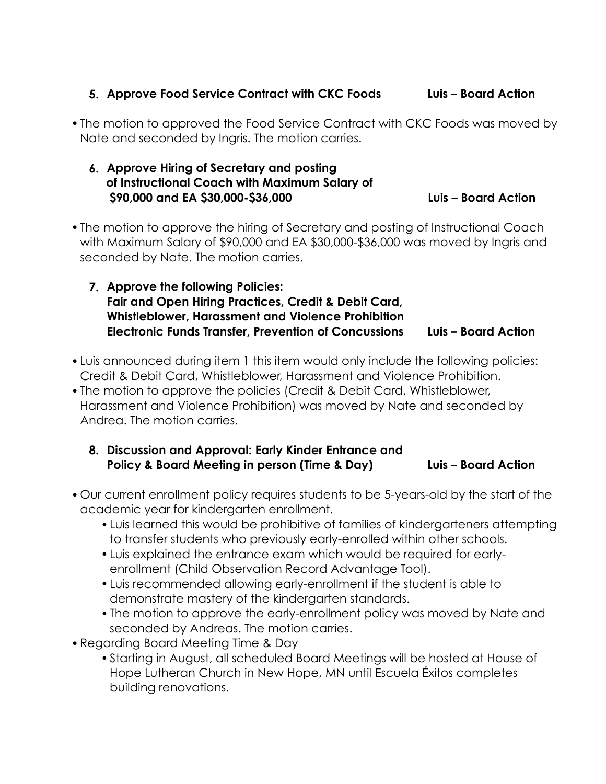### **5. Approve Food Service Contract with CKC Foods Luis – Board Action**

•The motion to approved the Food Service Contract with CKC Foods was moved by Nate and seconded by Ingris. The motion carries.

### **6. Approve Hiring of Secretary and posting of Instructional Coach with Maximum Salary of \$90,000 and EA \$30,000-\$36,000 Luis – Board Action**

- •The motion to approve the hiring of Secretary and posting of Instructional Coach with Maximum Salary of \$90,000 and EA \$30,000-\$36,000 was moved by Ingris and seconded by Nate. The motion carries.
	- **7. Approve the following Policies: Fair and Open Hiring Practices, Credit & Debit Card, Whistleblower, Harassment and Violence Prohibition Electronic Funds Transfer, Prevention of Concussions Luis – Board Action**
- •Luis announced during item 1 this item would only include the following policies: Credit & Debit Card, Whistleblower, Harassment and Violence Prohibition.
- •The motion to approve the policies (Credit & Debit Card, Whistleblower, Harassment and Violence Prohibition) was moved by Nate and seconded by Andrea. The motion carries.
	- **8. Discussion and Approval: Early Kinder Entrance and Policy & Board Meeting in person (Time & Day) Luis – Board Action**
- •Our current enrollment policy requires students to be 5-years-old by the start of the academic year for kindergarten enrollment.
	- •Luis learned this would be prohibitive of families of kindergarteners attempting to transfer students who previously early-enrolled within other schools.
	- •Luis explained the entrance exam which would be required for earlyenrollment (Child Observation Record Advantage Tool).
	- •Luis recommended allowing early-enrollment if the student is able to demonstrate mastery of the kindergarten standards.
	- •The motion to approve the early-enrollment policy was moved by Nate and seconded by Andreas. The motion carries.
- •Regarding Board Meeting Time & Day
	- •Starting in August, all scheduled Board Meetings will be hosted at House of Hope Lutheran Church in New Hope, MN until Escuela Éxitos completes building renovations.